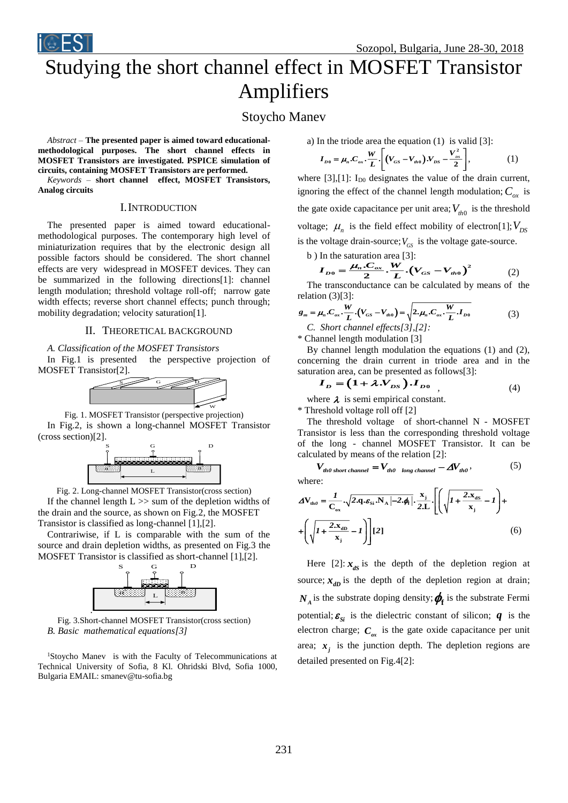

# Studying the short channel effect in MOSFET Transistor Amplifiers

# Stoycho Manev

*Abstract –* **The presented paper is aimed toward educationalmethodological purposes. The short channel effects in MOSFET Transistors are investigated. PSPICE simulation of circuits, containing MOSFET Transistors are performed.** 

*Keywords –* **short channel effect, MOSFET Transistors, Analog circuits**

#### I.INTRODUCTION

The presented paper is aimed toward educationalmethodological purposes. The contemporary high level of miniaturization requires that by the electronic design all possible factors should be considered. The short channel effects are very widespread in MOSFET devices. They can be summarized in the following directions[1]: channel length modulation; threshold voltage roll-off; narrow gate width effects; reverse short channel effects; punch through; mobility degradation; velocity saturation[1].

## II. THEORETICAL BACKGROUND

# *A. Classification of the MOSFET Transistors*

In Fig.1 is presented the perspective projection of MOSFET Transistor[2].



Fig. 1. MOSFET Transistor (perspective projection) In Fig.2, is shown a long-channel MOSFET Transistor (cross section)[2].



Fig. 2. Long-channel MOSFET Transistor(cross section) If the channel length  $L \gg$  sum of the depletion widths of the drain and the source, as shown on Fig.2, the MOSFET Transistor is classified as long-channel [1],[2].

Contrariwise, if L is comparable with the sum of the source and drain depletion widths, as presented on Fig.3 the MOSFET Transistor is classified as short-channel [1],[2].



Fig. 3.Short-channel MOSFET Transistor(cross section) *B. Basic mathematical equations[3]*

<sup>1</sup>Stoycho Maney is with the Faculty of Telecommunications at Technical University of Sofia, 8 Kl. Ohridski Blvd, Sofia 1000, Bulgaria EMAIL: smanev@tu-sofia.bg

a) In the triode area the equation (1) is valid [3]:

$$
I_{D0} = \mu_n . C_{ox} . \frac{W}{L} . \left[ \left( V_{GS} - V_{th0} \right) . V_{DS} - \frac{V_{DS}^2}{2} \right], \tag{1}
$$

where  $[3]$ , $[1]$ :  $I_{D0}$  designates the value of the drain current, ignoring the effect of the channel length modulation;  $C_{\alpha x}$  is the gate oxide capacitance per unit area;  $V_{th0}$  is the threshold voltage;  $\mu_n$  is the field effect mobility of electron[1];  $V_{DS}$ is the voltage drain-source;  $V_{GS}$  is the voltage gate-source.

b ) In the saturation area [3]:

$$
I_{D0} = \frac{\mu_n . C_{ox}}{2} . \frac{W}{L} . (V_{GS} - V_{ho0})^2
$$
 (2)

The transconductance can be calculated by means of the relation (3)[3]:

$$
g_m = \mu_n.C_{ox} \cdot \frac{W}{L} \cdot (V_{GS} - V_{ho}) = \sqrt{2 \cdot \mu_n.C_{ox} \cdot \frac{W}{L} \cdot I_{D0}}
$$
(3)  
C. Short channel effects[3], [2]:

\* Channel length modulation [3]

By channel length modulation the equations (1) and (2), concerning the drain current in triode area and in the saturation area, can be presented as follows[3]:

$$
\boldsymbol{I}_D = (1 + \lambda \mathcal{N}_{DS}) \mathcal{I}_{D0} \tag{4}
$$

where  $\lambda$  is semi empirical constant.

\* Threshold voltage roll off [2]

The threshold voltage of short-channel N - MOSFET Transistor is less than the corresponding threshold voltage of the long - channel MOSFET Transistor. It can be calculated by means of the relation [2]:

$$
V_{th0 short \, channel} = V_{th0 \, long \, channel} - \Delta V_{th0}, \tag{5}
$$
\n
$$
W_{th0} = (5)
$$

$$
\Delta \mathbf{V}_{\text{th0}} = \frac{I}{\mathbf{C}_{\text{ox}}} \cdot \sqrt{2. \mathbf{q} \cdot \mathbf{\varepsilon}_{\text{Si}} \cdot \mathbf{N}_{\text{A}} \left| -2. \phi_{\text{f}} \right|} \cdot \frac{\mathbf{x}_{\text{j}}}{2. \mathbf{L}} \cdot \left[ \left( \sqrt{I + \frac{2 \cdot \mathbf{x}_{\text{dS}}}{\mathbf{x}_{\text{j}}} - I} \right) + \left( \sqrt{I + \frac{2 \cdot \mathbf{x}_{\text{dD}}}{\mathbf{x}_{\text{j}}} - I} \right) \right] \left[ 2 \right] \tag{6}
$$

Here [2]:  $x_{ds}$  is the depth of the depletion region at source;  $x_{dD}$  is the depth of the depletion region at drain;  $N_A$  is the substrate doping density;  $\phi_f$  is the substrate Fermi potential;  $\varepsilon_{si}$  is the dielectric constant of silicon;  $q$  is the electron charge;  $C_{\alpha x}$  is the gate oxide capacitance per unit area;  $x_j$  is the junction depth. The depletion regions are detailed presented on Fig.4[2]: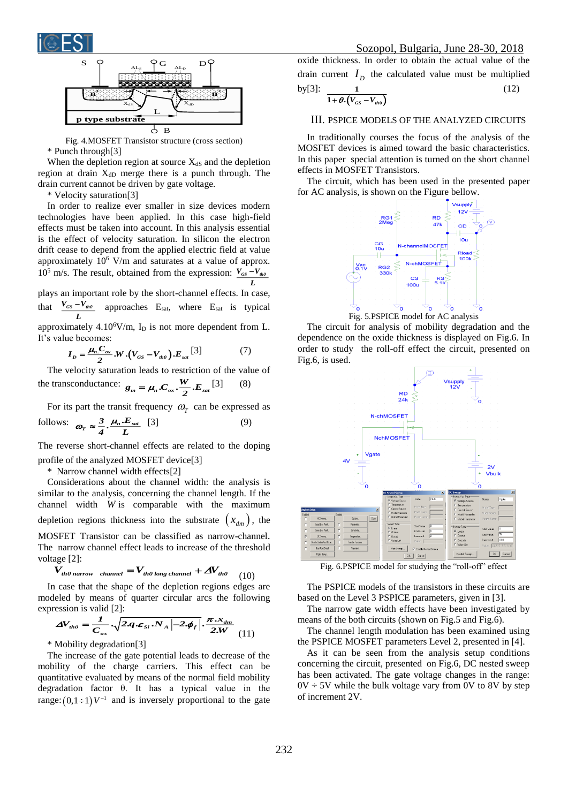



Fig. 4.MOSFET Transistor structure (cross section) \* Punch through[3]

When the depletion region at source  $X_{dS}$  and the depletion region at drain  $X_{dD}$  merge there is a punch through. The drain current cannot be driven by gate voltage.

\* Velocity saturation[3]

In order to realize ever smaller in size devices modern technologies have been applied. In this case high-field effects must be taken into account. In this analysis essential is the effect of velocity saturation. In silicon the electron drift cease to depend from the applied electric field at value approximately  $10^6$  V/m and saturates at a value of approx.  $10^5$  m/s. The result, obtained from the expression:  $V_{cs} - V_{ub}$ 

plays an important role by the short-channel effects. In case, that  $V_{GS}$   $-V_{th0}$ *L*  $\frac{-\mathbf{V}_{\mathit{th0}}}{\mathbf{V}_{\mathit{th0}}}$  approaches E<sub>sat</sub>, where E<sub>sat</sub> is typical approximately  $4.10^6$ V/m, I<sub>D</sub> is not more dependent from L.

*L*

It's value becomes:  
\n
$$
I_D = \frac{\mu_n C_{ox}}{2} . W . (V_{GS} - V_{th0}). E_{sat} [3]
$$
\n(7)

The velocity saturation leads to restriction of the value of the transconductance:  $g_m = \mu_n.C_{ox} \cdot \frac{W}{2}.E_{sat}$  [3] (8)

For its part the transit frequency  $\omega_r$  can be expressed as follows:  $\omega_r \approx \frac{3}{4} \cdot \frac{\mu_n \cdot E_{sat}}{L}$  [3] (9)

The reverse short-channel effects are related to the doping profile of the analyzed MOSFET device[3]

\* Narrow channel width effects[2]

Considerations about the channel width: the analysis is similar to the analysis, concerning the channel length. If the channel width *W* is comparable with the maximum depletion regions thickness into the substrate  $(x_{dm})$ , the MOSFET Transistor can be classified as narrow-channel. The narrow channel effect leads to increase of the threshold voltage [2]:<br>  $V_{th0\text{ narrow}}$  channel  $= V_{th0\text{ long channel}} + \Delta V_{th0}$  (10) voltage [2]:

$$
V_{th0\text{ narrow}} \quad_{channel} = V_{th0\text{ long channel}} + \Delta V_{th0} \quad (10)
$$

In case that the shape of the depletion regions edges are modeled by means of quarter circular arcs the following expression is valid [2]:

$$
\Delta V_{th0} = \frac{I}{C_{ox}} \cdot \sqrt{2.q \cdot \varepsilon_{Si} \cdot N_A \left|-2 \cdot \phi_f\right|} \cdot \frac{\pi \cdot x_{dm}}{2.W} \tag{11}
$$

\* Mobility degradation[3]

The increase of the gate potential leads to decrease of the mobility of the charge carriers. This effect can be quantitative evaluated by means of the normal field mobility degradation factor θ. It has a typical value in the range:  $(0,1+1)V^{-1}$  and is inversely proportional to the gate oxide thickness. In order to obtain the actual value of the drain current  $I_D$  the calculated value must be multiplied by[3]: **1** (12)

$$
\frac{1}{1+\theta\cdot(V_{GS}-V_{h0})}
$$

# III. PSPICE MODELS OF THE ANALYZED CIRCUITS

In traditionally courses the focus of the analysis of the MOSFET devices is aimed toward the basic characteristics. In this paper special attention is turned on the short channel effects in MOSFET Transistors.

The circuit, which has been used in the presented paper for AC analysis, is shown on the Figure bellow.



The circuit for analysis of mobility degradation and the dependence on the oxide thickness is displayed on Fig.6. In order to study the roll-off effect the circuit, presented on Fig.6, is used.



Fig. 6.PSPICE model for studying the "roll-off" effect

The PSPICE models of the transistors in these circuits are based on the Level 3 PSPICE parameters, given in [3].

The narrow gate width effects have been investigated by means of the both circuits (shown on Fig.5 and Fig.6).

The channel length modulation has been examined using the PSPICE MOSFET parameters Level 2, presented in [4].

As it can be seen from the analysis setup conditions concerning the circuit, presented on Fig.6, DC nested sweep has been activated. The gate voltage changes in the range:  $0V \div 5V$  while the bulk voltage vary from 0V to 8V by step of increment 2V.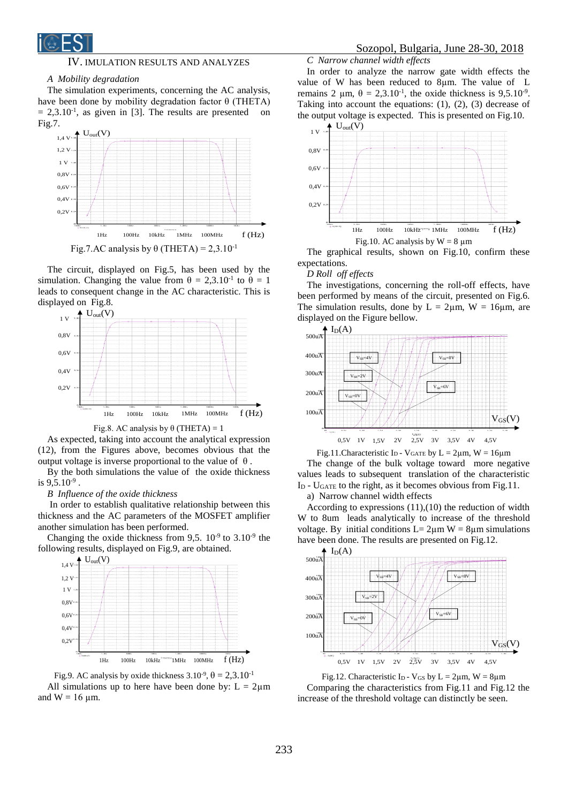

### IV. IMULATION RESULTS AND ANALYZES

#### *A Mobility degradation*

The simulation experiments, concerning the AC analysis, have been done by mobility degradation factor  $\theta$  (THETA)  $= 2,3.10^{-1}$ , as given in [3]. The results are presented on Fig.7.



The circuit, displayed on Fig.5, has been used by the simulation. Changing the value from  $\theta = 2{,}3.10^{-1}$  to  $\theta = 1$ leads to consequent change in the AC characteristic. This is displayed on Fig.8.



Fig.8. AC analysis by  $\theta$  (THETA) = 1

As expected, taking into account the analytical expression (12), from the Figures above, becomes obvious that the output voltage is inverse proportional to the value of  $θ$ .

By the both simulations the value of the oxide thickness is  $9,5.10^{.9}$ .

*B Influence of the oxide thickness*

In order to establish qualitative relationship between this thickness and the AC parameters of the MOSFET amplifier another simulation has been performed.

Changing the oxide thickness from 9,5.  $10^{-9}$  to  $3.10^{-9}$  the following results, displayed on Fig.9, are obtained.



Fig.9. AC analysis by oxide thickness  $3.10^{-9}$ ,  $\theta = 2.3 \cdot 10^{-1}$ All simulations up to here have been done by:  $L = 2\mu m$ and  $W = 16 \mu m$ .

*C Narrow channel width effects*

In order to analyze the narrow gate width effects the value of W has been reduced to 8µm. The value of L remains 2  $\mu$ m,  $\theta = 2,3.10^{-1}$ , the oxide thickness is 9,5.10<sup>-9</sup>. Taking into account the equations: (1), (2), (3) decrease of the output voltage is expected*.* This is presented on Fig.10.



The graphical results, shown on Fig.10, confirm these expectations.

#### *D Roll off effects*

The investigations, concerning the roll-off effects, have been performed by means of the circuit, presented on Fig.6. The simulation results, done by  $L = 2\mu m$ ,  $W = 16\mu m$ , are displayed on the Figure bellow.





According to expressions  $(11),(10)$  the reduction of width W to 8um leads analytically to increase of the threshold voltage. By initial conditions  $L = 2\mu m$  W = 8 $\mu$ m simulations have been done. The results are presented on Fig.12.



Fig.12. Characteristic I<sub>D</sub> - V<sub>GS</sub> by L = 2 $\mu$ m, W = 8 $\mu$ m Comparing the characteristics from Fig.11 and Fig.12 the increase of the threshold voltage can distinctly be seen.